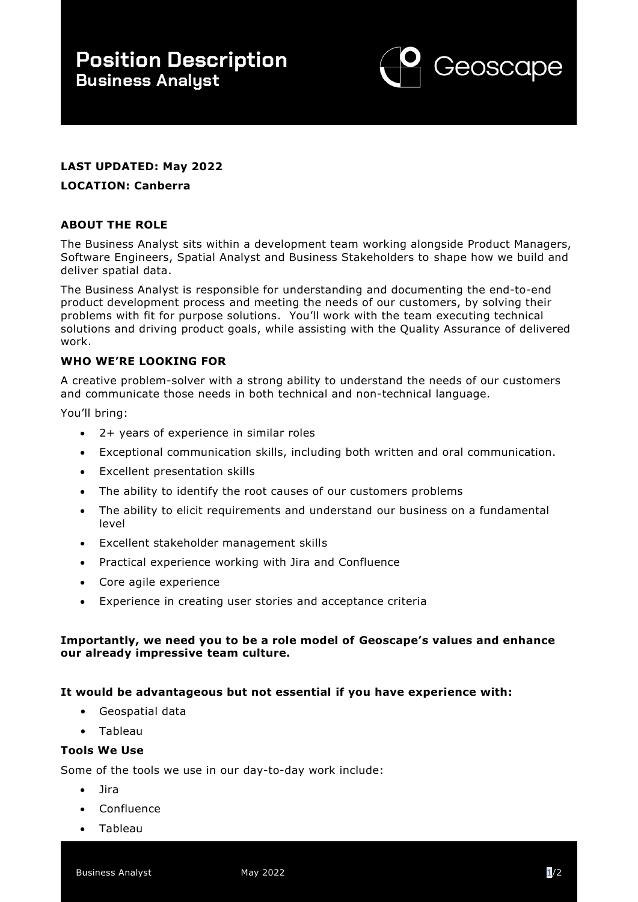

# **LAST UPDATED: May 2022**

#### **LOCATION: Canberra**

### **ABOUT THE ROLE**

The Business Analyst sits within a development team working alongside Product Managers, Software Engineers, Spatial Analyst and Business Stakeholders to shape how we build and deliver spatial data.

The Business Analyst is responsible for understanding and documenting the end-to-end product development process and meeting the needs of our customers, by solving their problems with fit for purpose solutions. You'll work with the team executing technical solutions and driving product goals, while assisting with the Quality Assurance of delivered work.

#### **WHO WE'RE LOOKING FOR**

A creative problem-solver with a strong ability to understand the needs of our customers and communicate those needs in both technical and non-technical language.

You'll bring:

- 2+ years of experience in similar roles
- Exceptional communication skills, including both written and oral communication.
- Excellent presentation skills
- The ability to identify the root causes of our customers problems
- The ability to elicit requirements and understand our business on a fundamental level
- Excellent stakeholder management skills
- Practical experience working with Jira and Confluence
- Core agile experience
- Experience in creating user stories and acceptance criteria

#### **Importantly, we need you to be a role model of Geoscape's values and enhance our already impressive team culture.**

#### **It would be advantageous but not essential if you have experience with:**

- Geospatial data
- Tableau

### **Tools We Use**

Some of the tools we use in our day-to-day work include:

- Jira
- **Confluence**
- Tableau